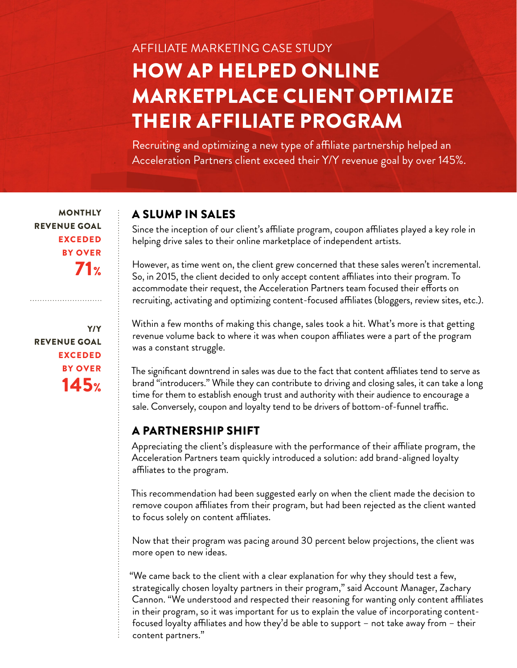# AFFILIATE MARKETING CASE STUDY HOW AP HELPED ONLINE MARKETPLACE CLIENT OPTIMIZE THEIR AFFILIATE PROGRAM

Recruiting and optimizing a new type of affiliate partnership helped an Acceleration Partners client exceed their Y/Y revenue goal by over 145%.

**MONTHLY** REVENUE GOAL EXCEDED BY OVER 71%

Y/Y REVENUE GOAL EXCEDED BY OVER  $145$ 

#### A SLUMP IN SALES

Since the inception of our client's afliate program, coupon afliates played a key role in helping drive sales to their online marketplace of independent artists.

However, as time went on, the client grew concerned that these sales weren't incremental. So, in 2015, the client decided to only accept content afliates into their program. To accommodate their request, the Acceleration Partners team focused their eforts on recruiting, activating and optimizing content-focused affiliates (bloggers, review sites, etc.).

Within a few months of making this change, sales took a hit. What's more is that getting revenue volume back to where it was when coupon afliates were a part of the program was a constant struggle.

The signifcant downtrend in sales was due to the fact that content afliates tend to serve as brand "introducers." While they can contribute to driving and closing sales, it can take a long time for them to establish enough trust and authority with their audience to encourage a sale. Conversely, coupon and loyalty tend to be drivers of bottom-of-funnel traffic.

#### A PARTNERSHIP SHIFT

Appreciating the client's displeasure with the performance of their affiliate program, the Acceleration Partners team quickly introduced a solution: add brand-aligned loyalty afliates to the program.

This recommendation had been suggested early on when the client made the decision to remove coupon afliates from their program, but had been rejected as the client wanted to focus solely on content afliates.

Now that their program was pacing around 30 percent below projections, the client was more open to new ideas.

"We came back to the client with a clear explanation for why they should test a few, strategically chosen loyalty partners in their program," said Account Manager, Zachary Cannon. "We understood and respected their reasoning for wanting only content afliates in their program, so it was important for us to explain the value of incorporating contentfocused loyalty affiliates and how they'd be able to support  $-$  not take away from  $-$  their content partners."